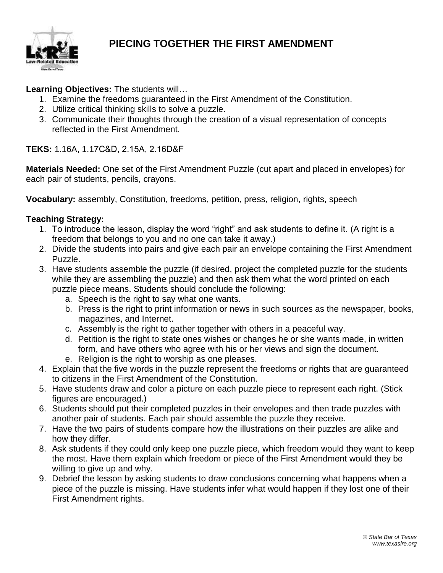

## **PIECING TOGETHER THE FIRST AMENDMENT**

#### **Learning Objectives:** The students will…

- 1. Examine the freedoms guaranteed in the First Amendment of the Constitution.
- 2. Utilize critical thinking skills to solve a puzzle.
- 3. Communicate their thoughts through the creation of a visual representation of concepts reflected in the First Amendment.

**TEKS:** 1.16A, 1.17C&D, 2.15A, 2.16D&F

**Materials Needed:** One set of the First Amendment Puzzle (cut apart and placed in envelopes) for each pair of students, pencils, crayons.

**Vocabulary:** assembly, Constitution, freedoms, petition, press, religion, rights, speech

#### **Teaching Strategy:**

- 1. To introduce the lesson, display the word "right" and ask students to define it. (A right is a freedom that belongs to you and no one can take it away.)
- 2. Divide the students into pairs and give each pair an envelope containing the First Amendment Puzzle.
- 3. Have students assemble the puzzle (if desired, project the completed puzzle for the students while they are assembling the puzzle) and then ask them what the word printed on each puzzle piece means. Students should conclude the following:
	- a. Speech is the right to say what one wants.
	- b. Press is the right to print information or news in such sources as the newspaper, books, magazines, and Internet.
	- c. Assembly is the right to gather together with others in a peaceful way.
	- d. Petition is the right to state ones wishes or changes he or she wants made, in written form, and have others who agree with his or her views and sign the document. e. Religion is the right to worship as one pleases.
- 4. Explain that the five words in the puzzle represent the freedoms or rights that are guaranteed to citizens in the First Amendment of the Constitution.
- 5. Have students draw and color a picture on each puzzle piece to represent each right. (Stick figures are encouraged.)
- 6. Students should put their completed puzzles in their envelopes and then trade puzzles with another pair of students. Each pair should assemble the puzzle they receive.
- 7. Have the two pairs of students compare how the illustrations on their puzzles are alike and how they differ.
- 8. Ask students if they could only keep one puzzle piece, which freedom would they want to keep the most. Have them explain which freedom or piece of the First Amendment would they be willing to give up and why.
- 9. Debrief the lesson by asking students to draw conclusions concerning what happens when a piece of the puzzle is missing. Have students infer what would happen if they lost one of their First Amendment rights.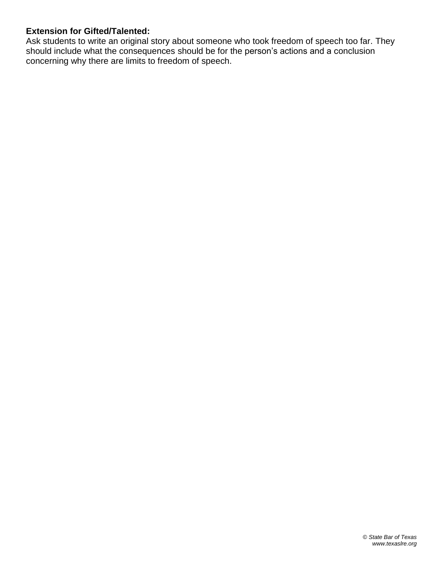### **Extension for Gifted/Talented:**

Ask students to write an original story about someone who took freedom of speech too far. They should include what the consequences should be for the person's actions and a conclusion concerning why there are limits to freedom of speech.